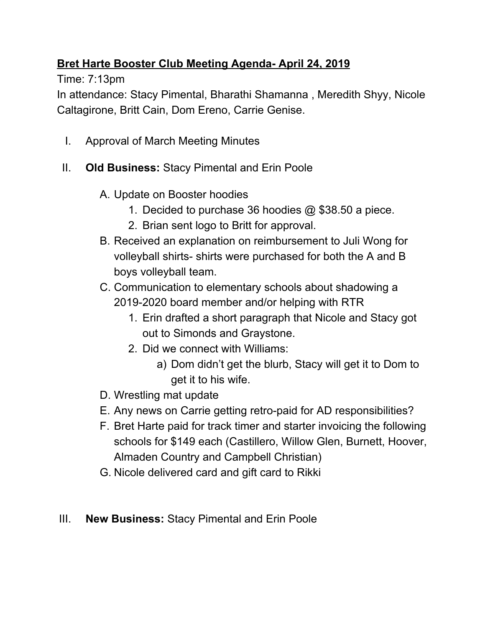## **Bret Harte Booster Club Meeting Agenda- April 24, 2019**

Time: 7:13pm

In attendance: Stacy Pimental, Bharathi Shamanna , Meredith Shyy, Nicole Caltagirone, Britt Cain, Dom Ereno, Carrie Genise.

- I. Approval of March Meeting Minutes
- II. **Old Business:** Stacy Pimental and Erin Poole
	- A. Update on Booster hoodies
		- 1. Decided to purchase 36 hoodies @ \$38.50 a piece.
		- 2. Brian sent logo to Britt for approval.
	- B. Received an explanation on reimbursement to Juli Wong for volleyball shirts- shirts were purchased for both the A and B boys volleyball team.
	- C. Communication to elementary schools about shadowing a 2019-2020 board member and/or helping with RTR
		- 1. Erin drafted a short paragraph that Nicole and Stacy got out to Simonds and Graystone.
		- 2. Did we connect with Williams:
			- a) Dom didn't get the blurb, Stacy will get it to Dom to get it to his wife.
	- D. Wrestling mat update
	- E. Any news on Carrie getting retro-paid for AD responsibilities?
	- F. Bret Harte paid for track timer and starter invoicing the following schools for \$149 each (Castillero, Willow Glen, Burnett, Hoover, Almaden Country and Campbell Christian)
	- G. Nicole delivered card and gift card to Rikki
- III. **New Business:** Stacy Pimental and Erin Poole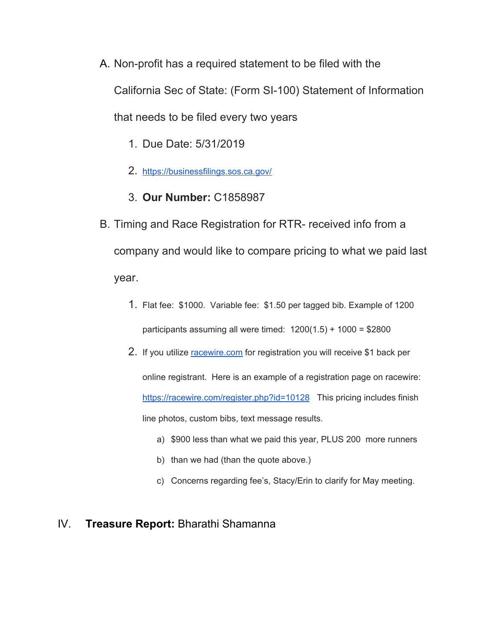- A. Non-profit has a required statement to be filed with the California Sec of State: (Form SI-100) Statement of Information that needs to be filed every two years
	- 1. Due Date: 5/31/2019
	- 2. <https://businessfilings.sos.ca.gov/>
	- 3. **Our Number:** C1858987
- B. Timing and Race Registration for RTR- received info from a company and would like to compare pricing to what we paid last year.
	- 1. Flat fee: \$1000. Variable fee: \$1.50 per tagged bib. Example of 1200 participants assuming all were timed:  $1200(1.5) + 1000 = $2800$
	- 2. If you utilize [racewire.com](http://racewire.com/) for registration you will receive \$1 back per online registrant. Here is an example of a registration page on racewire: <https://racewire.com/register.php?id=10128> This pricing includes finish line photos, custom bibs, text message results.
		- a) \$900 less than what we paid this year, PLUS 200 more runners
		- b) than we had (than the quote above.)
		- c) Concerns regarding fee's, Stacy/Erin to clarify for May meeting.

#### IV. **Treasure Report:** Bharathi Shamanna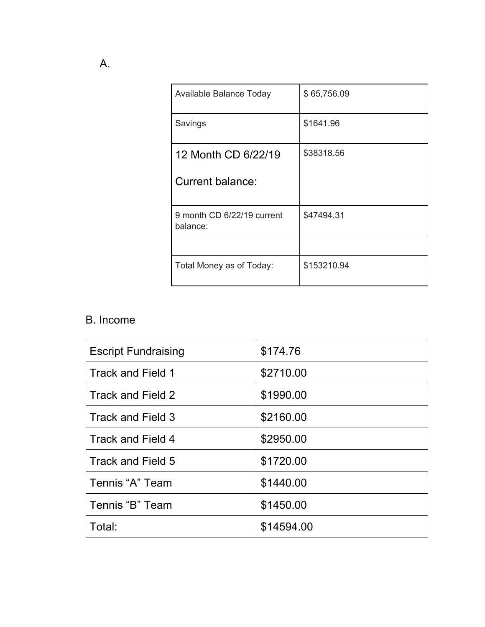| Available Balance Today                | \$65,756.09 |
|----------------------------------------|-------------|
| Savings                                | \$1641.96   |
| 12 Month CD 6/22/19                    | \$38318.56  |
| Current balance:                       |             |
| 9 month CD 6/22/19 current<br>balance: | \$47494.31  |
|                                        |             |
| Total Money as of Today:               | \$153210.94 |

## B. Income

| <b>Escript Fundraising</b> | \$174.76   |
|----------------------------|------------|
| Track and Field 1          | \$2710.00  |
| Track and Field 2          | \$1990.00  |
| Track and Field 3          | \$2160.00  |
| Track and Field 4          | \$2950.00  |
| Track and Field 5          | \$1720.00  |
| Tennis "A" Team            | \$1440.00  |
| Tennis "B" Team            | \$1450.00  |
| Total:                     | \$14594.00 |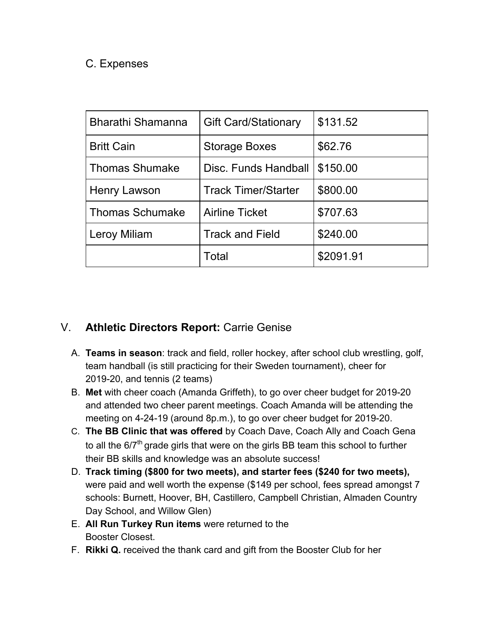#### C. Expenses

| <b>Bharathi Shamanna</b> | <b>Gift Card/Stationary</b> | \$131.52  |
|--------------------------|-----------------------------|-----------|
| <b>Britt Cain</b>        | <b>Storage Boxes</b>        | \$62.76   |
| <b>Thomas Shumake</b>    | Disc. Funds Handball        | \$150.00  |
| Henry Lawson             | <b>Track Timer/Starter</b>  | \$800.00  |
| <b>Thomas Schumake</b>   | <b>Airline Ticket</b>       | \$707.63  |
| Leroy Miliam             | <b>Track and Field</b>      | \$240.00  |
|                          | Total                       | \$2091.91 |

### V. **Athletic Directors Report:** Carrie Genise

- A. **Teams in season**: track and field, roller hockey, after school club wrestling, golf, team handball (is still practicing for their Sweden tournament), cheer for 2019-20, and tennis (2 teams)
- B. **Met** with cheer coach (Amanda Griffeth), to go over cheer budget for 2019-20 and attended two cheer parent meetings. Coach Amanda will be attending the meeting on 4-24-19 (around 8p.m.), to go over cheer budget for 2019-20.
- C. **The BB Clinic that was offered** by Coach Dave, Coach Ally and Coach Gena to all the  $6/7<sup>th</sup>$  grade girls that were on the girls BB team this school to further their BB skills and knowledge was an absolute success!
- D. **Track timing (\$800 for two meets), and starter fees (\$240 for two meets),** were paid and well worth the expense (\$149 per school, fees spread amongst 7 schools: Burnett, Hoover, BH, Castillero, Campbell Christian, Almaden Country Day School, and Willow Glen)
- E. **All Run Turkey Run items** were returned to the Booster Closest.
- F. **Rikki Q.** received the thank card and gift from the Booster Club for her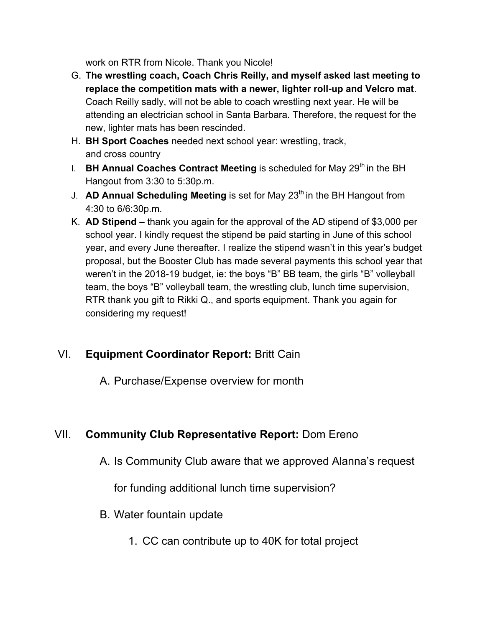work on RTR from Nicole. Thank you Nicole!

- G. **The wrestling coach, Coach Chris Reilly, and myself asked last meeting to replace the competition mats with a newer, lighter roll-up and Velcro mat**. Coach Reilly sadly, will not be able to coach wrestling next year. He will be attending an electrician school in Santa Barbara. Therefore, the request for the new, lighter mats has been rescinded.
- H. **BH Sport Coaches** needed next school year: wrestling, track, and cross country
- I. BH Annual Coaches Contract Meeting is scheduled for May 29<sup>th</sup> in the BH Hangout from 3:30 to 5:30p.m.
- J. **AD Annual Scheduling Meeting** is set for May 23<sup>th</sup> in the BH Hangout from 4:30 to 6/6:30p.m.
- K. **AD Stipend** thank you again for the approval of the AD stipend of \$3,000 per school year. I kindly request the stipend be paid starting in June of this school year, and every June thereafter. I realize the stipend wasn't in this year's budget proposal, but the Booster Club has made several payments this school year that weren't in the 2018-19 budget, ie: the boys "B" BB team, the girls "B" volleyball team, the boys "B" volleyball team, the wrestling club, lunch time supervision, RTR thank you gift to Rikki Q., and sports equipment. Thank you again for considering my request!

## VI. **Equipment Coordinator Report:** Britt Cain

A. Purchase/Expense overview for month

# VII. **Community Club Representative Report:** Dom Ereno

A. Is Community Club aware that we approved Alanna's request

for funding additional lunch time supervision?

- B. Water fountain update
	- 1. CC can contribute up to 40K for total project